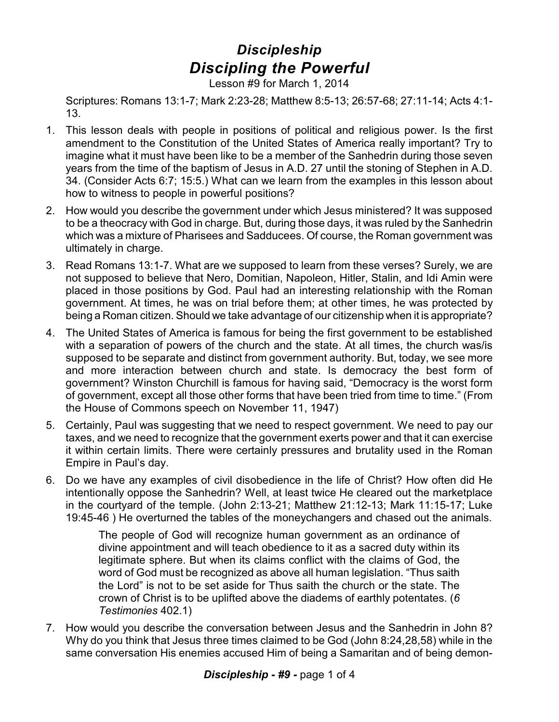## *Discipleship Discipling the Powerful*

Lesson #9 for March 1, 2014

Scriptures: Romans 13:1-7; Mark 2:23-28; Matthew 8:5-13; 26:57-68; 27:11-14; Acts 4:1- 13.

- 1. This lesson deals with people in positions of political and religious power. Is the first amendment to the Constitution of the United States of America really important? Try to imagine what it must have been like to be a member of the Sanhedrin during those seven years from the time of the baptism of Jesus in A.D. 27 until the stoning of Stephen in A.D. 34. (Consider Acts 6:7; 15:5.) What can we learn from the examples in this lesson about how to witness to people in powerful positions?
- 2. How would you describe the government under which Jesus ministered? It was supposed to be a theocracy with God in charge. But, during those days, it was ruled by the Sanhedrin which was a mixture of Pharisees and Sadducees. Of course, the Roman government was ultimately in charge.
- 3. Read Romans 13:1-7. What are we supposed to learn from these verses? Surely, we are not supposed to believe that Nero, Domitian, Napoleon, Hitler, Stalin, and Idi Amin were placed in those positions by God. Paul had an interesting relationship with the Roman government. At times, he was on trial before them; at other times, he was protected by being a Roman citizen. Should we take advantage of our citizenship when it is appropriate?
- 4. The United States of America is famous for being the first government to be established with a separation of powers of the church and the state. At all times, the church was/is supposed to be separate and distinct from government authority. But, today, we see more and more interaction between church and state. Is democracy the best form of government? Winston Churchill is famous for having said, "Democracy is the worst form of government, except all those other forms that have been tried from time to time." (From the House of Commons speech on November 11, 1947)
- 5. Certainly, Paul was suggesting that we need to respect government. We need to pay our taxes, and we need to recognize that the government exerts power and that it can exercise it within certain limits. There were certainly pressures and brutality used in the Roman Empire in Paul's day.
- 6. Do we have any examples of civil disobedience in the life of Christ? How often did He intentionally oppose the Sanhedrin? Well, at least twice He cleared out the marketplace in the courtyard of the temple. (John 2:13-21; Matthew 21:12-13; Mark 11:15-17; Luke 19:45-46 ) He overturned the tables of the moneychangers and chased out the animals.

The people of God will recognize human government as an ordinance of divine appointment and will teach obedience to it as a sacred duty within its legitimate sphere. But when its claims conflict with the claims of God, the word of God must be recognized as above all human legislation. "Thus saith the Lord" is not to be set aside for Thus saith the church or the state. The crown of Christ is to be uplifted above the diadems of earthly potentates. (*6 Testimonies* 402.1)

7. How would you describe the conversation between Jesus and the Sanhedrin in John 8? Why do you think that Jesus three times claimed to be God (John 8:24,28,58) while in the same conversation His enemies accused Him of being a Samaritan and of being demon-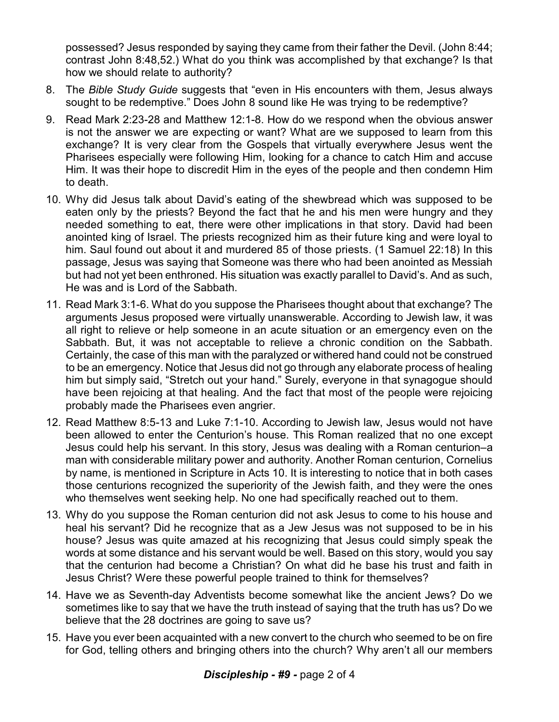possessed? Jesus responded by saying they came from their father the Devil. (John 8:44; contrast John 8:48,52.) What do you think was accomplished by that exchange? Is that how we should relate to authority?

- 8. The *Bible Study Guide* suggests that "even in His encounters with them, Jesus always sought to be redemptive." Does John 8 sound like He was trying to be redemptive?
- 9. Read Mark 2:23-28 and Matthew 12:1-8. How do we respond when the obvious answer is not the answer we are expecting or want? What are we supposed to learn from this exchange? It is very clear from the Gospels that virtually everywhere Jesus went the Pharisees especially were following Him, looking for a chance to catch Him and accuse Him. It was their hope to discredit Him in the eyes of the people and then condemn Him to death.
- 10. Why did Jesus talk about David's eating of the shewbread which was supposed to be eaten only by the priests? Beyond the fact that he and his men were hungry and they needed something to eat, there were other implications in that story. David had been anointed king of Israel. The priests recognized him as their future king and were loyal to him. Saul found out about it and murdered 85 of those priests. (1 Samuel 22:18) In this passage, Jesus was saying that Someone was there who had been anointed as Messiah but had not yet been enthroned. His situation was exactly parallel to David's. And as such, He was and is Lord of the Sabbath.
- 11. Read Mark 3:1-6. What do you suppose the Pharisees thought about that exchange? The arguments Jesus proposed were virtually unanswerable. According to Jewish law, it was all right to relieve or help someone in an acute situation or an emergency even on the Sabbath. But, it was not acceptable to relieve a chronic condition on the Sabbath. Certainly, the case of this man with the paralyzed or withered hand could not be construed to be an emergency. Notice that Jesus did not go through any elaborate process of healing him but simply said, "Stretch out your hand." Surely, everyone in that synagogue should have been rejoicing at that healing. And the fact that most of the people were rejoicing probably made the Pharisees even angrier.
- 12. Read Matthew 8:5-13 and Luke 7:1-10. According to Jewish law, Jesus would not have been allowed to enter the Centurion's house. This Roman realized that no one except Jesus could help his servant. In this story, Jesus was dealing with a Roman centurion–a man with considerable military power and authority. Another Roman centurion, Cornelius by name, is mentioned in Scripture in Acts 10. It is interesting to notice that in both cases those centurions recognized the superiority of the Jewish faith, and they were the ones who themselves went seeking help. No one had specifically reached out to them.
- 13. Why do you suppose the Roman centurion did not ask Jesus to come to his house and heal his servant? Did he recognize that as a Jew Jesus was not supposed to be in his house? Jesus was quite amazed at his recognizing that Jesus could simply speak the words at some distance and his servant would be well. Based on this story, would you say that the centurion had become a Christian? On what did he base his trust and faith in Jesus Christ? Were these powerful people trained to think for themselves?
- 14. Have we as Seventh-day Adventists become somewhat like the ancient Jews? Do we sometimes like to say that we have the truth instead of saying that the truth has us? Do we believe that the 28 doctrines are going to save us?
- 15. Have you ever been acquainted with a new convert to the church who seemed to be on fire for God, telling others and bringing others into the church? Why aren't all our members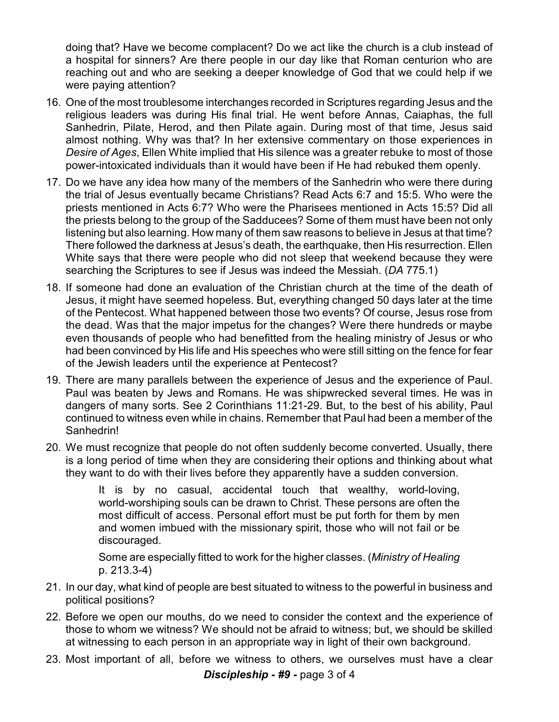doing that? Have we become complacent? Do we act like the church is a club instead of a hospital for sinners? Are there people in our day like that Roman centurion who are reaching out and who are seeking a deeper knowledge of God that we could help if we were paying attention?

- 16. One of the most troublesome interchanges recorded in Scriptures regarding Jesus and the religious leaders was during His final trial. He went before Annas, Caiaphas, the full Sanhedrin, Pilate, Herod, and then Pilate again. During most of that time, Jesus said almost nothing. Why was that? In her extensive commentary on those experiences in *Desire of Ages*, Ellen White implied that His silence was a greater rebuke to most of those power-intoxicated individuals than it would have been if He had rebuked them openly.
- 17. Do we have any idea how many of the members of the Sanhedrin who were there during the trial of Jesus eventually became Christians? Read Acts 6:7 and 15:5. Who were the priests mentioned in Acts 6:7? Who were the Pharisees mentioned in Acts 15:5? Did all the priests belong to the group of the Sadducees? Some of them must have been not only listening but also learning. How many of them saw reasons to believe in Jesus at that time? There followed the darkness at Jesus's death, the earthquake, then His resurrection. Ellen White says that there were people who did not sleep that weekend because they were searching the Scriptures to see if Jesus was indeed the Messiah. (*DA* 775.1)
- 18. If someone had done an evaluation of the Christian church at the time of the death of Jesus, it might have seemed hopeless. But, everything changed 50 days later at the time of the Pentecost. What happened between those two events? Of course, Jesus rose from the dead. Was that the major impetus for the changes? Were there hundreds or maybe even thousands of people who had benefitted from the healing ministry of Jesus or who had been convinced by His life and His speeches who were still sitting on the fence for fear of the Jewish leaders until the experience at Pentecost?
- 19. There are many parallels between the experience of Jesus and the experience of Paul. Paul was beaten by Jews and Romans. He was shipwrecked several times. He was in dangers of many sorts. See 2 Corinthians 11:21-29. But, to the best of his ability, Paul continued to witness even while in chains. Remember that Paul had been a member of the Sanhedrin!
- 20. We must recognize that people do not often suddenly become converted. Usually, there is a long period of time when they are considering their options and thinking about what they want to do with their lives before they apparently have a sudden conversion.

It is by no casual, accidental touch that wealthy, world-loving, world-worshiping souls can be drawn to Christ. These persons are often the most difficult of access. Personal effort must be put forth for them by men and women imbued with the missionary spirit, those who will not fail or be discouraged.

Some are especially fitted to work for the higher classes. (*Ministry of Healing* p. 213.3-4)

- 21. In our day, what kind of people are best situated to witness to the powerful in business and political positions?
- 22. Before we open our mouths, do we need to consider the context and the experience of those to whom we witness? We should not be afraid to witness; but, we should be skilled at witnessing to each person in an appropriate way in light of their own background.
- 23. Most important of all, before we witness to others, we ourselves must have a clear